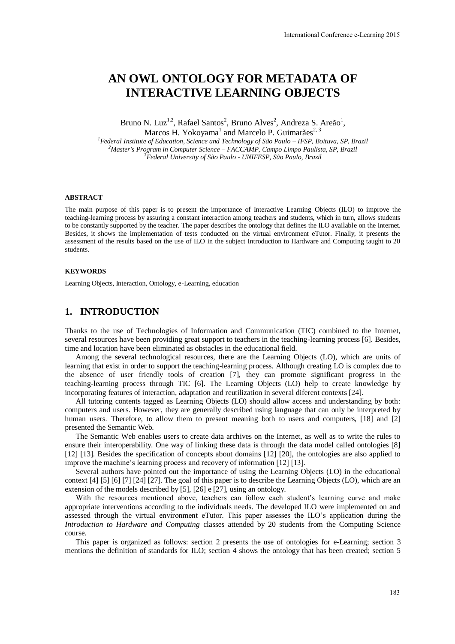# **AN OWL ONTOLOGY FOR METADATA OF INTERACTIVE LEARNING OBJECTS**

Bruno N. Luz<sup>1,2</sup>, Rafael Santos<sup>2</sup>, Bruno Alves<sup>2</sup>, Andreza S. Areão<sup>1</sup>, Marcos H. Yokoyama<sup>1</sup> and Marcelo P. Guimarães<sup>2, 3</sup>

*<sup>1</sup>Federal Institute of Education, Science and Technology of São Paulo – IFSP, Boituva, SP, Brazil <sup>2</sup>Master's Program in Computer Science – FACCAMP, Campo Limpo Paulista, SP, Brazil <sup>3</sup>Federal University of São Paulo - UNIFESP, São Paulo, Brazil* 

#### **ABSTRACT**

The main purpose of this paper is to present the importance of Interactive Learning Objects (ILO) to improve the teaching-learning process by assuring a constant interaction among teachers and students, which in turn, allows students to be constantly supported by the teacher. The paper describes the ontology that defines the ILO available on the Internet. Besides, it shows the implementation of tests conducted on the virtual environment eTutor. Finally, it presents the assessment of the results based on the use of ILO in the subject Introduction to Hardware and Computing taught to 20 students.

#### **KEYWORDS**

Learning Objects, Interaction, Ontology, e-Learning, education

### **1. INTRODUCTION**

Thanks to the use of Technologies of Information and Communication (TIC) combined to the Internet, several resources have been providing great support to teachers in the teaching-learning process [6]. Besides, time and location have been eliminated as obstacles in the educational field.

Among the several technological resources, there are the Learning Objects (LO), which are units of learning that exist in order to support the teaching-learning process. Although creating LO is complex due to the absence of user friendly tools of creation [7], they can promote significant progress in the teaching-learning process through TIC [6]. The Learning Objects (LO) help to create knowledge by incorporating features of interaction, adaptation and reutilization in several diferent contexts [24].

All tutoring contents tagged as Learning Objects (LO) should allow access and understanding by both: computers and users. However, they are generally described using language that can only be interpreted by human users. Therefore, to allow them to present meaning both to users and computers, [18] and [2] presented the Semantic Web.

The Semantic Web enables users to create data archives on the Internet, as well as to write the rules to ensure their interoperability. One way of linking these data is through the data model called ontologies [8] [12] [13]. Besides the specification of concepts about domains [12] [20], the ontologies are also applied to improve the machine's learning process and recovery of information [12] [13].

Several authors have pointed out the importance of using the Learning Objects (LO) in the educational context [4] [5] [6] [7] [24] [27]. The goal of this paper is to describe the Learning Objects (LO), which are an extension of the models described by [5], [26] e [27], using an ontology.

With the resources mentioned above, teachers can follow each student's learning curve and make appropriate interventions according to the individuals needs. The developed ILO were implemented on and assessed through the virtual environment eTutor. This paper assesses the ILO's application during the *Introduction to Hardware and Computing* classes attended by 20 students from the Computing Science course.

This paper is organized as follows: section 2 presents the use of ontologies for e-Learning; section 3 mentions the definition of standards for ILO; section 4 shows the ontology that has been created; section 5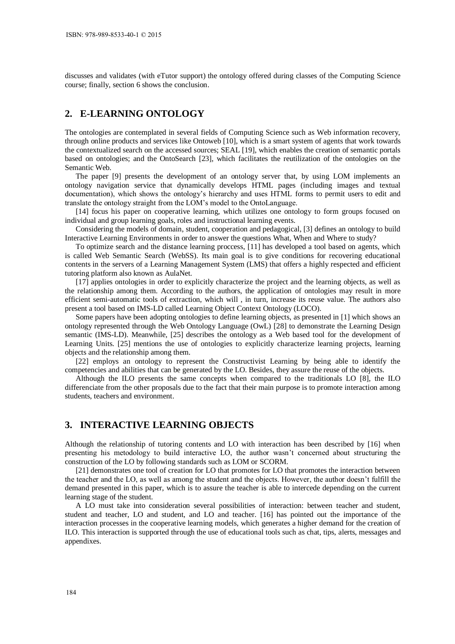discusses and validates (with eTutor support) the ontology offered during classes of the Computing Science course; finally, section 6 shows the conclusion.

## **2. E-LEARNING ONTOLOGY**

The ontologies are contemplated in several fields of Computing Science such as Web information recovery, through online products and services like Ontoweb [10], which is a smart system of agents that work towards the contextualized search on the accessed sources; SEAL [19], which enables the creation of semantic portals based on ontologies; and the OntoSearch [23], which facilitates the reutilization of the ontologies on the Semantic Web.

The paper [9] presents the development of an ontology server that, by using LOM implements an ontology navigation service that dynamically develops HTML pages (including images and textual documentation), which shows the ontology's hierarchy and uses HTML forms to permit users to edit and translate the ontology straight from the LOM's model to the OntoLanguage.

[14] focus his paper on cooperative learning, which utilizes one ontology to form groups focused on individual and group learning goals, roles and instructional learning events.

Considering the models of domain, student, cooperation and pedagogical, [3] defines an ontology to build Interactive Learning Environments in order to answer the questions What, When and Where to study?

To optimize search and the distance learning proccess, [11] has developed a tool based on agents, which is called Web Semantic Search (WebSS). Its main goal is to give conditions for recovering educational contents in the servers of a Learning Management System (LMS) that offers a highly respected and efficient tutoring platform also known as AulaNet.

[17] applies ontologies in order to explicitly characterize the project and the learning objects, as well as the relationship among them. According to the authors, the application of ontologies may result in more efficient semi-automatic tools of extraction, which will , in turn, increase its reuse value. The authors also present a tool based on IMS-LD called Learning Object Context Ontology (LOCO).

Some papers have been adopting ontologies to define learning objects, as presented in [1] which shows an ontology represented through the Web Ontology Language (OwL) [28] to demonstrate the Learning Design semantic (IMS-LD). Meanwhile, [25] describes the ontology as a Web based tool for the development of Learning Units. [25] mentions the use of ontologies to explicitly characterize learning projects, learning objects and the relationship among them.

[22] employs an ontology to represent the Constructivist Learning by being able to identify the competencies and abilities that can be generated by the LO. Besides, they assure the reuse of the objects.

Although the ILO presents the same concepts when compared to the traditionals LO [8], the ILO differenciate from the other proposals due to the fact that their main purpose is to promote interaction among students, teachers and environment.

#### **3. INTERACTIVE LEARNING OBJECTS**

Although the relationship of tutoring contents and LO with interaction has been described by [16] when presenting his metodology to build interactive LO, the author wasn't concerned about structuring the construction of the LO by following standards such as LOM or SCORM.

[21] demonstrates one tool of creation for LO that promotes for LO that promotes the interaction between the teacher and the LO, as well as among the student and the objects. However, the author doesn't fulfill the demand presented in this paper, which is to assure the teacher is able to intercede depending on the current learning stage of the student.

A LO must take into consideration several possibilities of interaction: between teacher and student, student and teacher, LO and student, and LO and teacher. [16] has pointed out the importance of the interaction processes in the cooperative learning models, which generates a higher demand for the creation of ILO. This interaction is supported through the use of educational tools such as chat, tips, alerts, messages and appendixes.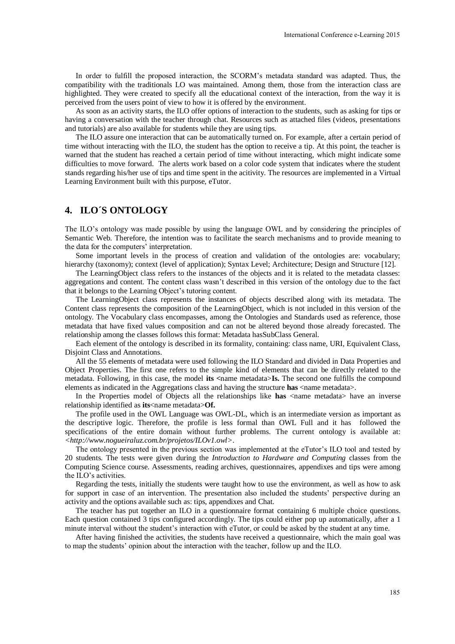In order to fulfill the proposed interaction, the SCORM's metadata standard was adapted. Thus, the compatibility with the traditionals LO was maintained. Among them, those from the interaction class are highlighted. They were created to specify all the educational context of the interaction, from the way it is perceived from the users point of view to how it is offered by the environment.

As soon as an activity starts, the ILO offer options of interaction to the students, such as asking for tips or having a conversation with the teacher through chat. Resources such as attached files (videos, presentations and tutorials) are also available for students while they are using tips.

The ILO assure one interaction that can be automatically turned on. For example, after a certain period of time without interacting with the ILO, the student has the option to receive a tip. At this point, the teacher is warned that the student has reached a certain period of time without interacting, which might indicate some difficulties to move forward. The alerts work based on a color code system that indicates where the student stands regarding his/her use of tips and time spent in the acitivity. The resources are implemented in a Virtual Learning Environment built with this purpose, eTutor.

# **4. ILO´S ONTOLOGY**

The ILO's ontology was made possible by using the language OWL and by considering the principles of Semantic Web. Therefore, the intention was to facilitate the search mechanisms and to provide meaning to the data for the computers' interpretation.

Some important levels in the process of creation and validation of the ontologies are: vocabulary; hierarchy (taxonomy); context (level of application); Syntax Level; Architecture; Design and Structure [12].

The LearningObject class refers to the instances of the objects and it is related to the metadata classes: aggregations and content. The content class wasn't described in this version of the ontology due to the fact that it belongs to the Learning Object's tutoring content.

The LearningObject class represents the instances of objects described along with its metadata. The Content class represents the composition of the LearningObject, which is not included in this version of the ontology. The Vocabulary class encompasses, among the Ontologies and Standards used as reference, those metadata that have fixed values composition and can not be altered beyond those already forecasted. The relationship among the classes follows this format: Metadata hasSubClass General.

Each element of the ontology is described in its formality, containing: class name, URI, Equivalent Class, Disjoint Class and Annotations.

All the 55 elements of metadata were used following the ILO Standard and divided in Data Properties and Object Properties. The first one refers to the simple kind of elements that can be directly related to the metadata. Following, in this case, the model **its <**name metadata>**Is.** The second one fulfills the compound elements as indicated in the Aggregations class and having the structure **has** <name metadata>.

In the Properties model of Objects all the relationships like has  $\langle$  name metadata $\rangle$  have an inverse relationship identified as **its**<name metadata>**Of.** 

The profile used in the OWL Language was OWL-DL, which is an intermediate version as important as the descriptive logic. Therefore, the profile is less formal than OWL Full and it has followed the specifications of the entire domain without further problems. The current ontology is available at: *<http://www.nogueiraluz.com.br/projetos/ILOv1.owl>*.

The ontology presented in the previous section was implemented at the eTutor's ILO tool and tested by 20 students. The tests were given during the *Introduction to Hardware and Computing* classes from the Computing Science course. Assessments, reading archives, questionnaires, appendixes and tips were among the ILO's activities.

Regarding the tests, initially the students were taught how to use the environment, as well as how to ask for support in case of an intervention. The presentation also included the students' perspective during an activity and the options available such as: tips, appendixes and Chat.

The teacher has put together an ILO in a questionnaire format containing 6 multiple choice questions. Each question contained 3 tips configured accordingly. The tips could either pop up automatically, after a 1 minute interval without the student's interaction with eTutor, or could be asked by the student at any time.

After having finished the activities, the students have received a questionnaire, which the main goal was to map the students' opinion about the interaction with the teacher, follow up and the ILO.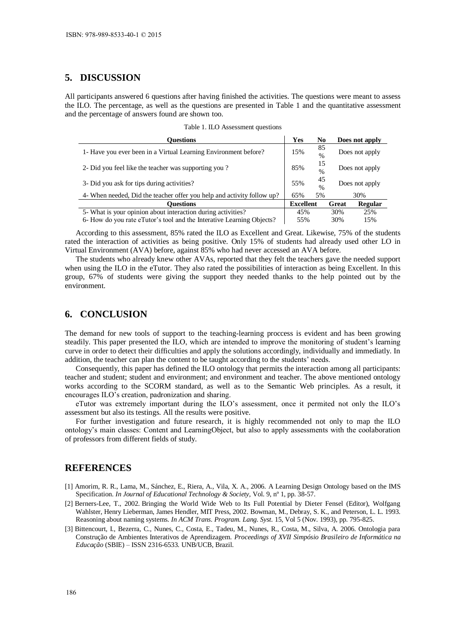# **5. DISCUSSION**

All participants answered 6 questions after having finished the activities. The questions were meant to assess the ILO. The percentage, as well as the questions are presented in Table 1 and the quantitative assessment and the percentage of answers found are shown too.

| <b>Duestions</b>                                                       | Yes              | N <sub>0</sub>      |                | Does not apply |
|------------------------------------------------------------------------|------------------|---------------------|----------------|----------------|
| 1- Have you ever been in a Virtual Learning Environment before?        | 15%              | 85<br>$\frac{0}{0}$ | Does not apply |                |
| 2- Did you feel like the teacher was supporting you?                   | 85%              | 15<br>$\frac{0}{0}$ | Does not apply |                |
| 3- Did you ask for tips during activities?                             | 55%              | 45<br>$\frac{0}{0}$ | Does not apply |                |
| 4- When needed, Did the teacher offer you help and activity follow up? | 65%              | 5%                  | 30%            |                |
| Ouestions                                                              | <b>Excellent</b> |                     | Great          | <b>Regular</b> |
| 5- What is your opinion about interaction during activities?           | 45%              |                     | 30%            | 25%            |
| 6- How do you rate eTutor's tool and the Interative Learning Objects?  | 55%              |                     | 30%            | 15%            |

Table 1. ILO Assessment questions

According to this assessment, 85% rated the ILO as Excellent and Great. Likewise, 75% of the students rated the interaction of activities as being positive. Only 15% of students had already used other LO in Virtual Environment (AVA) before, against 85% who had never accessed an AVA before.

The students who already knew other AVAs, reported that they felt the teachers gave the needed support when using the ILO in the eTutor. They also rated the possibilities of interaction as being Excellent. In this group, 67% of students were giving the support they needed thanks to the help pointed out by the environment.

## **6. CONCLUSION**

The demand for new tools of support to the teaching-learning proccess is evident and has been growing steadily. This paper presented the ILO, which are intended to improve the monitoring of student's learning curve in order to detect their difficulties and apply the solutions accordingly, individually and immediatly. In addition, the teacher can plan the content to be taught according to the students' needs.

Consequently, this paper has defined the ILO ontology that permits the interaction among all participants: teacher and student; student and environment; and environment and teacher. The above mentioned ontology works according to the SCORM standard, as well as to the Semantic Web principles. As a result, it encourages ILO's creation, padronization and sharing.

eTutor was extremely important during the ILO's assessment, once it permited not only the ILO's assessment but also its testings. All the results were positive.

For further investigation and future research, it is highly recommended not only to map the ILO ontology's main classes: Content and LearningObject, but also to apply assessments with the coolaboration of professors from different fields of study.

# **REFERENCES**

- [1] Amorim, R. R., Lama, M., Sánchez, E., Riera, A., Vila, X. A., 2006. A Learning Design Ontology based on the IMS Specification. *In Journal of Educational Technology & Society,* Vol. 9, nº 1, pp. 38-57.
- [2] Berners-Lee, T., 2002. Bringing the World Wide Web to Its Full Potential by Dieter Fensel (Editor), Wolfgang Wahlster, Henry Lieberman, James Hendler, MIT Press, 2002. Bowman, M., Debray, S. K., and Peterson, L. L. 1993. Reasoning about naming systems. *In ACM Trans. Program. Lang. Syst.* 15, Vol 5 (Nov. 1993), pp. 795-825.
- [3] Bittencourt, I., Bezerra, C., Nunes, C., Costa, E., Tadeu, M., Nunes, R., Costa, M., Silva, A. 2006. Ontologia para Construção de Ambientes Interativos de Aprendizagem. *Proceedings of XVII Simpósio Brasileiro de Informática na Educação* (SBIE) – ISSN 2316-6533. UNB/UCB, Brazil.